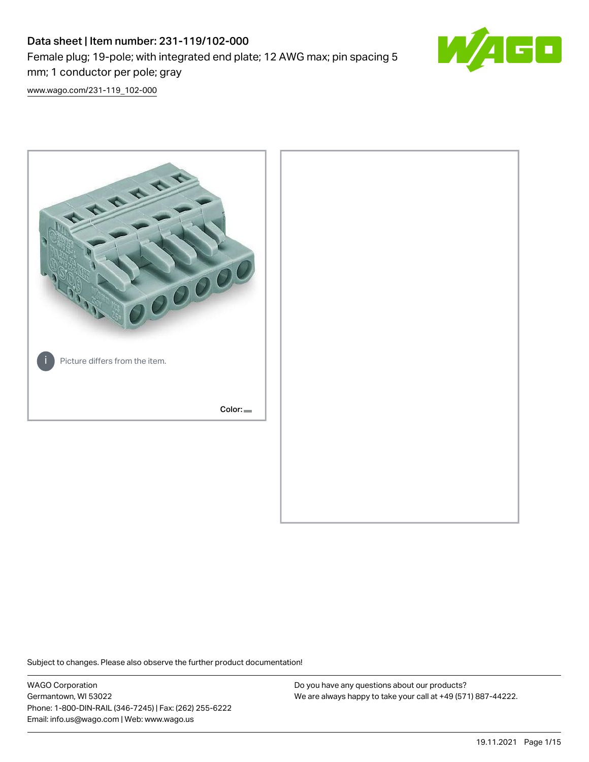# Data sheet | Item number: 231-119/102-000 Female plug; 19-pole; with integrated end plate; 12 AWG max; pin spacing 5 mm; 1 conductor per pole; gray



[www.wago.com/231-119\\_102-000](http://www.wago.com/231-119_102-000)



Subject to changes. Please also observe the further product documentation!

WAGO Corporation Germantown, WI 53022 Phone: 1-800-DIN-RAIL (346-7245) | Fax: (262) 255-6222 Email: info.us@wago.com | Web: www.wago.us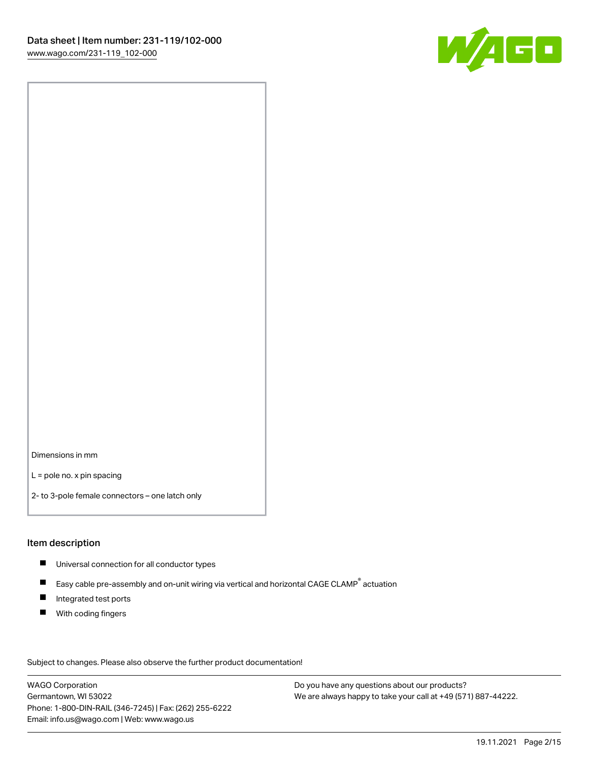

Dimensions in mm

L = pole no. x pin spacing

2- to 3-pole female connectors – one latch only

#### Item description

- **Universal connection for all conductor types**
- Easy cable pre-assembly and on-unit wiring via vertical and horizontal CAGE CLAMP<sup>®</sup> actuation  $\blacksquare$
- $\blacksquare$ Integrated test ports
- $\blacksquare$ With coding fingers

Subject to changes. Please also observe the further product documentation! Data

WAGO Corporation Germantown, WI 53022 Phone: 1-800-DIN-RAIL (346-7245) | Fax: (262) 255-6222 Email: info.us@wago.com | Web: www.wago.us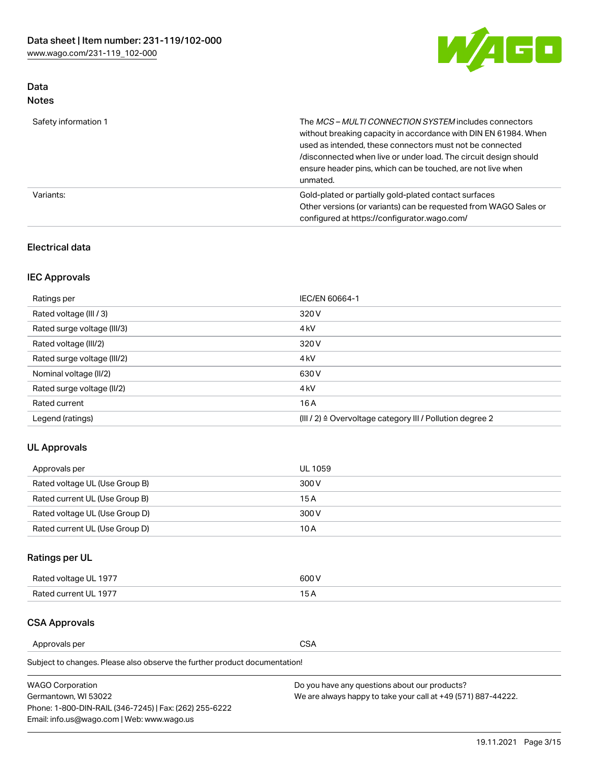

### Data Notes

| Safety information 1 | The MCS-MULTI CONNECTION SYSTEM includes connectors<br>without breaking capacity in accordance with DIN EN 61984. When<br>used as intended, these connectors must not be connected<br>/disconnected when live or under load. The circuit design should<br>ensure header pins, which can be touched, are not live when<br>unmated. |
|----------------------|-----------------------------------------------------------------------------------------------------------------------------------------------------------------------------------------------------------------------------------------------------------------------------------------------------------------------------------|
| Variants:            | Gold-plated or partially gold-plated contact surfaces<br>Other versions (or variants) can be requested from WAGO Sales or<br>configured at https://configurator.wago.com/                                                                                                                                                         |

### Electrical data

# IEC Approvals

| Ratings per                 | IEC/EN 60664-1                                                        |  |
|-----------------------------|-----------------------------------------------------------------------|--|
| Rated voltage (III / 3)     | 320 V                                                                 |  |
| Rated surge voltage (III/3) | 4 <sub>k</sub> V                                                      |  |
| Rated voltage (III/2)       | 320 V                                                                 |  |
| Rated surge voltage (III/2) | 4 <sub>k</sub> V                                                      |  |
| Nominal voltage (II/2)      | 630 V                                                                 |  |
| Rated surge voltage (II/2)  | 4 <sub>k</sub> V                                                      |  |
| Rated current               | 16A                                                                   |  |
| Legend (ratings)            | $(III / 2)$ $\triangle$ Overvoltage category III / Pollution degree 2 |  |

### UL Approvals

| Approvals per                  | UL 1059 |
|--------------------------------|---------|
| Rated voltage UL (Use Group B) | 300 V   |
| Rated current UL (Use Group B) | 15 A    |
| Rated voltage UL (Use Group D) | 300 V   |
| Rated current UL (Use Group D) | 10 A    |

# Ratings per UL

| Rated voltage UL 1977 | 300 V |
|-----------------------|-------|
| Rated current UL 1977 |       |

### CSA Approvals

Approvals per CSA

Subject to changes. Please also observe the further product documentation!

| <b>WAGO Corporation</b>                                | Do you have any questions about our products?                 |
|--------------------------------------------------------|---------------------------------------------------------------|
| Germantown, WI 53022                                   | We are always happy to take your call at +49 (571) 887-44222. |
| Phone: 1-800-DIN-RAIL (346-7245)   Fax: (262) 255-6222 |                                                               |
| Email: info.us@wago.com   Web: www.wago.us             |                                                               |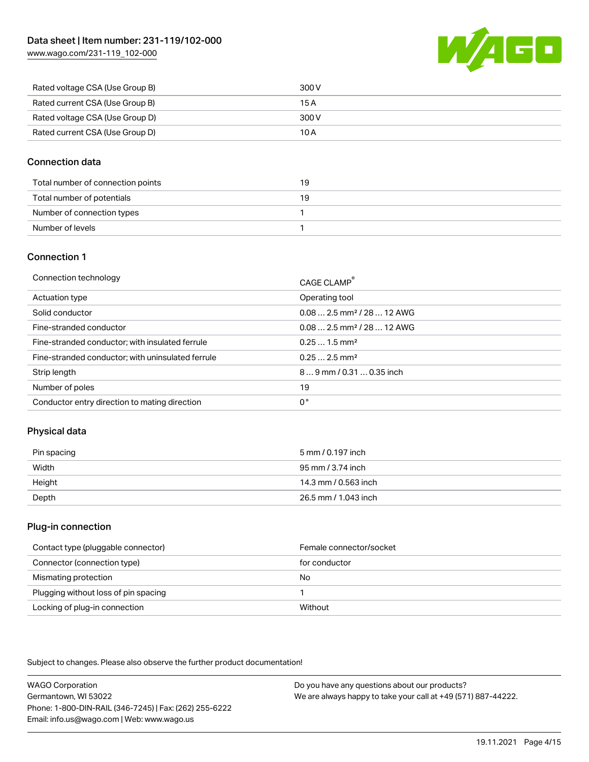[www.wago.com/231-119\\_102-000](http://www.wago.com/231-119_102-000)



| Rated voltage CSA (Use Group B) | 300 V |
|---------------------------------|-------|
| Rated current CSA (Use Group B) | 15 A  |
| Rated voltage CSA (Use Group D) | 300 V |
| Rated current CSA (Use Group D) | 10 A  |

### Connection data

| Total number of connection points | 19 |
|-----------------------------------|----|
| Total number of potentials        | 19 |
| Number of connection types        |    |
| Number of levels                  |    |

### Connection 1

| Connection technology                             | CAGE CLAMP®                             |
|---------------------------------------------------|-----------------------------------------|
| Actuation type                                    | Operating tool                          |
| Solid conductor                                   | $0.082.5$ mm <sup>2</sup> / 28  12 AWG  |
| Fine-stranded conductor                           | $0.08$ 2.5 mm <sup>2</sup> / 28  12 AWG |
| Fine-stranded conductor; with insulated ferrule   | $0.251.5$ mm <sup>2</sup>               |
| Fine-stranded conductor; with uninsulated ferrule | $0.252.5$ mm <sup>2</sup>               |
| Strip length                                      | $89$ mm $/ 0.310.35$ inch               |
| Number of poles                                   | 19                                      |
| Conductor entry direction to mating direction     | 0°                                      |

### Physical data

| Pin spacing | 5 mm / 0.197 inch    |
|-------------|----------------------|
| Width       | 95 mm / 3.74 inch    |
| Height      | 14.3 mm / 0.563 inch |
| Depth       | 26.5 mm / 1.043 inch |

#### Plug-in connection

| Contact type (pluggable connector)   | Female connector/socket |
|--------------------------------------|-------------------------|
| Connector (connection type)          | for conductor           |
| Mismating protection                 | No                      |
| Plugging without loss of pin spacing |                         |
| Locking of plug-in connection        | Without                 |

Subject to changes. Please also observe the further product documentation!

WAGO Corporation Germantown, WI 53022 Phone: 1-800-DIN-RAIL (346-7245) | Fax: (262) 255-6222 Email: info.us@wago.com | Web: www.wago.us Do you have any questions about our products? We are always happy to take your call at +49 (571) 887-44222.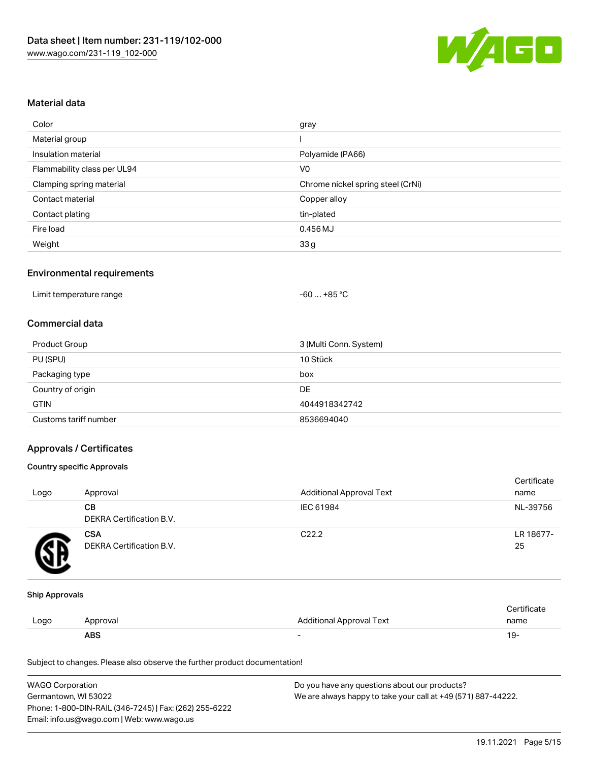

#### Material data

| Color                       | gray                              |
|-----------------------------|-----------------------------------|
| Material group              |                                   |
| Insulation material         | Polyamide (PA66)                  |
| Flammability class per UL94 | V <sub>0</sub>                    |
| Clamping spring material    | Chrome nickel spring steel (CrNi) |
| Contact material            | Copper alloy                      |
| Contact plating             | tin-plated                        |
| Fire load                   | $0.456$ MJ                        |
| Weight                      | 33g                               |

### Environmental requirements

| Limit temperature range<br>. | $-60+85 °C$ |  |
|------------------------------|-------------|--|
|------------------------------|-------------|--|

#### Commercial data

| Product Group         | 3 (Multi Conn. System) |
|-----------------------|------------------------|
| PU (SPU)              | 10 Stück               |
| Packaging type        | box                    |
| Country of origin     | DE                     |
| <b>GTIN</b>           | 4044918342742          |
| Customs tariff number | 8536694040             |

### Approvals / Certificates

#### Country specific Approvals

| Logo | Approval                               | <b>Additional Approval Text</b> | Certificate<br>name |
|------|----------------------------------------|---------------------------------|---------------------|
|      | CВ<br>DEKRA Certification B.V.         | IEC 61984                       | NL-39756            |
|      | <b>CSA</b><br>DEKRA Certification B.V. | C <sub>22.2</sub>               | LR 18677-<br>25     |

#### Ship Approvals

|      | ABS      |                          | । ५- |
|------|----------|--------------------------|------|
| Logo | Approval | Additional Approval Text | name |
|      |          |                          |      |

Subject to changes. Please also observe the further product documentation!

| <b>WAGO Corporation</b>                                | Do you have any questions about our products?                 |
|--------------------------------------------------------|---------------------------------------------------------------|
| Germantown, WI 53022                                   | We are always happy to take your call at +49 (571) 887-44222. |
| Phone: 1-800-DIN-RAIL (346-7245)   Fax: (262) 255-6222 |                                                               |
| Email: info.us@wago.com   Web: www.wago.us             |                                                               |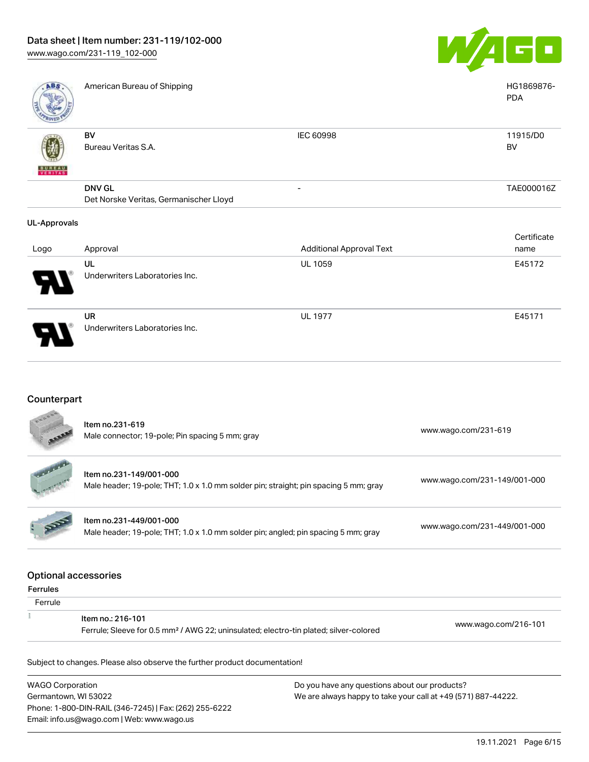Underwriters Laboratories Inc.



| ABS                 | American Bureau of Shipping                             |                                 | HG1869876-<br><b>PDA</b> |
|---------------------|---------------------------------------------------------|---------------------------------|--------------------------|
| <b>BUNEAU</b>       | BV<br>Bureau Veritas S.A.                               | IEC 60998                       | 11915/D0<br>BV           |
|                     | <b>DNV GL</b><br>Det Norske Veritas, Germanischer Lloyd |                                 | TAE000016Z               |
| <b>UL-Approvals</b> |                                                         |                                 |                          |
|                     |                                                         |                                 | Certificate              |
| Logo                | Approval                                                | <b>Additional Approval Text</b> | name                     |
|                     | UL                                                      | UL 1059                         | E45172                   |
|                     | Underwriters Laboratories Inc.                          |                                 |                          |
|                     | <b>UR</b>                                               | <b>UL 1977</b>                  | E45171                   |

# Counterpart

| Item no.231-619<br>Male connector; 19-pole; Pin spacing 5 mm; gray                                                     | www.wago.com/231-619         |  |
|------------------------------------------------------------------------------------------------------------------------|------------------------------|--|
| Item no.231-149/001-000<br>Male header; 19-pole; THT; 1.0 x 1.0 mm solder pin; straight; pin spacing 5 mm; gray        | www.wago.com/231-149/001-000 |  |
| Item no.231-449/001-000<br>Male header; 19-pole; THT; 1.0 x 1.0 mm solder pin; angled; pin spacing 5 mm; gray          | www.wago.com/231-449/001-000 |  |
|                                                                                                                        |                              |  |
|                                                                                                                        |                              |  |
| Item no.: 216-101<br>Ferrule; Sleeve for 0.5 mm <sup>2</sup> / AWG 22; uninsulated; electro-tin plated; silver-colored | www.wago.com/216-101         |  |
|                                                                                                                        |                              |  |
|                                                                                                                        | <b>Optional accessories</b>  |  |

WAGO Corporation Germantown, WI 53022 Phone: 1-800-DIN-RAIL (346-7245) | Fax: (262) 255-6222 Email: info.us@wago.com | Web: www.wago.us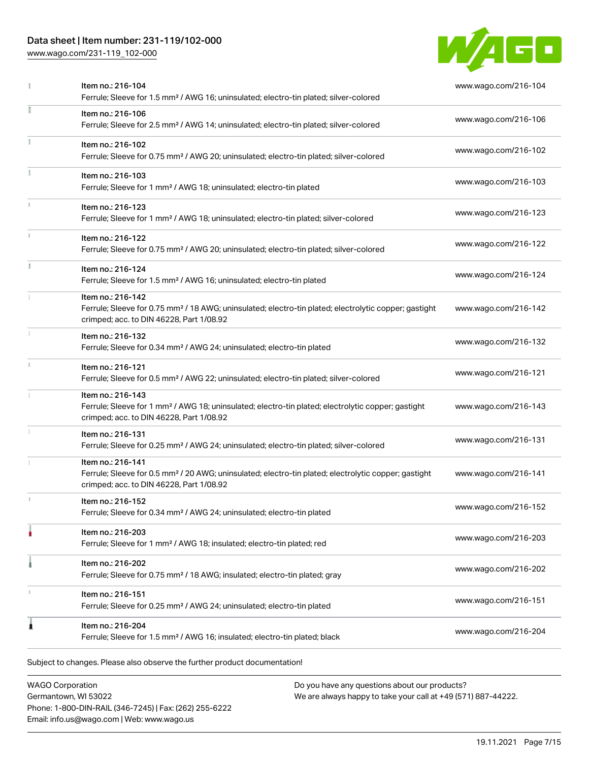## Data sheet | Item number: 231-119/102-000

[www.wago.com/231-119\\_102-000](http://www.wago.com/231-119_102-000)



|   | Item no.: 216-104<br>Ferrule; Sleeve for 1.5 mm <sup>2</sup> / AWG 16; uninsulated; electro-tin plated; silver-colored                                                             | www.wago.com/216-104 |
|---|------------------------------------------------------------------------------------------------------------------------------------------------------------------------------------|----------------------|
|   | Item no.: 216-106<br>Ferrule; Sleeve for 2.5 mm <sup>2</sup> / AWG 14; uninsulated; electro-tin plated; silver-colored                                                             | www.wago.com/216-106 |
|   | Item no.: 216-102<br>Ferrule; Sleeve for 0.75 mm <sup>2</sup> / AWG 20; uninsulated; electro-tin plated; silver-colored                                                            | www.wago.com/216-102 |
|   | Item no.: 216-103<br>Ferrule; Sleeve for 1 mm <sup>2</sup> / AWG 18; uninsulated; electro-tin plated                                                                               | www.wago.com/216-103 |
|   | Item no.: 216-123<br>Ferrule; Sleeve for 1 mm <sup>2</sup> / AWG 18; uninsulated; electro-tin plated; silver-colored                                                               | www.wago.com/216-123 |
|   | Item no.: 216-122<br>Ferrule; Sleeve for 0.75 mm <sup>2</sup> / AWG 20; uninsulated; electro-tin plated; silver-colored                                                            | www.wago.com/216-122 |
|   | Item no.: 216-124<br>Ferrule; Sleeve for 1.5 mm <sup>2</sup> / AWG 16; uninsulated; electro-tin plated                                                                             | www.wago.com/216-124 |
|   | Item no.: 216-142<br>Ferrule; Sleeve for 0.75 mm <sup>2</sup> / 18 AWG; uninsulated; electro-tin plated; electrolytic copper; gastight<br>crimped; acc. to DIN 46228, Part 1/08.92 | www.wago.com/216-142 |
|   | Item no.: 216-132<br>Ferrule; Sleeve for 0.34 mm <sup>2</sup> / AWG 24; uninsulated; electro-tin plated                                                                            | www.wago.com/216-132 |
|   | Item no.: 216-121<br>Ferrule; Sleeve for 0.5 mm <sup>2</sup> / AWG 22; uninsulated; electro-tin plated; silver-colored                                                             | www.wago.com/216-121 |
|   | Item no.: 216-143<br>Ferrule; Sleeve for 1 mm <sup>2</sup> / AWG 18; uninsulated; electro-tin plated; electrolytic copper; gastight<br>crimped; acc. to DIN 46228, Part 1/08.92    | www.wago.com/216-143 |
|   | Item no.: 216-131<br>Ferrule; Sleeve for 0.25 mm <sup>2</sup> / AWG 24; uninsulated; electro-tin plated; silver-colored                                                            | www.wago.com/216-131 |
|   | Item no.: 216-141<br>Ferrule; Sleeve for 0.5 mm <sup>2</sup> / 20 AWG; uninsulated; electro-tin plated; electrolytic copper; gastight<br>crimped; acc. to DIN 46228, Part 1/08.92  | www.wago.com/216-141 |
|   | Item no.: 216-152<br>Ferrule; Sleeve for 0.34 mm <sup>2</sup> / AWG 24; uninsulated; electro-tin plated                                                                            | www.wago.com/216-152 |
|   | Item no.: 216-203<br>Ferrule; Sleeve for 1 mm <sup>2</sup> / AWG 18; insulated; electro-tin plated; red                                                                            | www.wago.com/216-203 |
|   | Item no.: 216-202<br>Ferrule; Sleeve for 0.75 mm <sup>2</sup> / 18 AWG; insulated; electro-tin plated; gray                                                                        | www.wago.com/216-202 |
|   | Item no.: 216-151<br>Ferrule; Sleeve for 0.25 mm <sup>2</sup> / AWG 24; uninsulated; electro-tin plated                                                                            | www.wago.com/216-151 |
| 1 | Item no.: 216-204<br>Ferrule; Sleeve for 1.5 mm <sup>2</sup> / AWG 16; insulated; electro-tin plated; black                                                                        | www.wago.com/216-204 |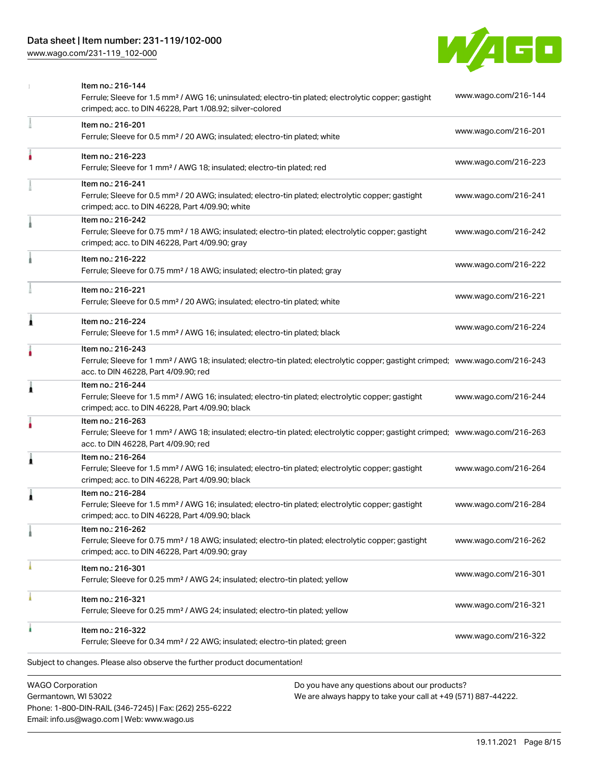[www.wago.com/231-119\\_102-000](http://www.wago.com/231-119_102-000)



|                         | Item no.: 216-144<br>Ferrule; Sleeve for 1.5 mm <sup>2</sup> / AWG 16; uninsulated; electro-tin plated; electrolytic copper; gastight<br>crimped; acc. to DIN 46228, Part 1/08.92; silver-colored       | www.wago.com/216-144 |
|-------------------------|---------------------------------------------------------------------------------------------------------------------------------------------------------------------------------------------------------|----------------------|
|                         | Item no.: 216-201<br>Ferrule; Sleeve for 0.5 mm <sup>2</sup> / 20 AWG; insulated; electro-tin plated; white                                                                                             | www.wago.com/216-201 |
|                         | Item no.: 216-223<br>Ferrule; Sleeve for 1 mm <sup>2</sup> / AWG 18; insulated; electro-tin plated; red                                                                                                 | www.wago.com/216-223 |
|                         | Item no.: 216-241<br>Ferrule; Sleeve for 0.5 mm <sup>2</sup> / 20 AWG; insulated; electro-tin plated; electrolytic copper; gastight<br>crimped; acc. to DIN 46228, Part 4/09.90; white                  | www.wago.com/216-241 |
|                         | Item no.: 216-242<br>Ferrule; Sleeve for 0.75 mm <sup>2</sup> / 18 AWG; insulated; electro-tin plated; electrolytic copper; gastight<br>crimped; acc. to DIN 46228, Part 4/09.90; gray                  | www.wago.com/216-242 |
|                         | Item no.: 216-222<br>Ferrule; Sleeve for 0.75 mm <sup>2</sup> / 18 AWG; insulated; electro-tin plated; gray                                                                                             | www.wago.com/216-222 |
|                         | Item no.: 216-221<br>Ferrule; Sleeve for 0.5 mm <sup>2</sup> / 20 AWG; insulated; electro-tin plated; white                                                                                             | www.wago.com/216-221 |
| ۸                       | Item no.: 216-224<br>Ferrule; Sleeve for 1.5 mm <sup>2</sup> / AWG 16; insulated; electro-tin plated; black                                                                                             | www.wago.com/216-224 |
|                         | Item no.: 216-243<br>Ferrule; Sleeve for 1 mm <sup>2</sup> / AWG 18; insulated; electro-tin plated; electrolytic copper; gastight crimped; www.wago.com/216-243<br>acc. to DIN 46228, Part 4/09.90; red |                      |
| 1                       | Item no.: 216-244<br>Ferrule; Sleeve for 1.5 mm <sup>2</sup> / AWG 16; insulated; electro-tin plated; electrolytic copper; gastight<br>crimped; acc. to DIN 46228, Part 4/09.90; black                  | www.wago.com/216-244 |
|                         | Item no.: 216-263<br>Ferrule; Sleeve for 1 mm <sup>2</sup> / AWG 18; insulated; electro-tin plated; electrolytic copper; gastight crimped; www.wago.com/216-263<br>acc. to DIN 46228, Part 4/09.90; red |                      |
| 1                       | Item no.: 216-264<br>Ferrule; Sleeve for 1.5 mm <sup>2</sup> / AWG 16; insulated; electro-tin plated; electrolytic copper; gastight<br>crimped; acc. to DIN 46228, Part 4/09.90; black                  | www.wago.com/216-264 |
|                         | Item no.: 216-284<br>Ferrule; Sleeve for 1.5 mm <sup>2</sup> / AWG 16; insulated; electro-tin plated; electrolytic copper; gastight<br>crimped; acc. to DIN 46228, Part 4/09.90; black                  | www.wago.com/216-284 |
|                         | Item no.: 216-262<br>Ferrule; Sleeve for 0.75 mm <sup>2</sup> / 18 AWG; insulated; electro-tin plated; electrolytic copper; gastight<br>crimped; acc. to DIN 46228, Part 4/09.90; gray                  | www.wago.com/216-262 |
|                         | Item no.: 216-301<br>Ferrule; Sleeve for 0.25 mm <sup>2</sup> / AWG 24; insulated; electro-tin plated; yellow                                                                                           | www.wago.com/216-301 |
|                         | Item no.: 216-321<br>Ferrule; Sleeve for 0.25 mm <sup>2</sup> / AWG 24; insulated; electro-tin plated; yellow                                                                                           | www.wago.com/216-321 |
|                         | Item no.: 216-322<br>Ferrule; Sleeve for 0.34 mm <sup>2</sup> / 22 AWG; insulated; electro-tin plated; green                                                                                            | www.wago.com/216-322 |
|                         | Subject to changes. Please also observe the further product documentation!                                                                                                                              |                      |
| <b>WAGO Corporation</b> | Do you have any questions about our products?                                                                                                                                                           |                      |

Germantown, WI 53022 Phone: 1-800-DIN-RAIL (346-7245) | Fax: (262) 255-6222 Email: info.us@wago.com | Web: www.wago.us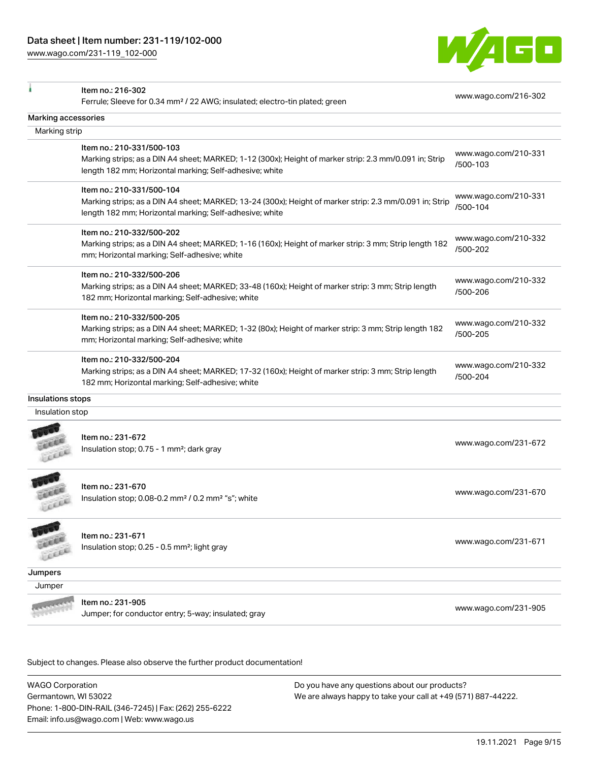[www.wago.com/231-119\\_102-000](http://www.wago.com/231-119_102-000)



|                     | Item no.: 216-302                                                                                       |                      |
|---------------------|---------------------------------------------------------------------------------------------------------|----------------------|
|                     | Ferrule; Sleeve for 0.34 mm <sup>2</sup> / 22 AWG; insulated; electro-tin plated; green                 | www.wago.com/216-302 |
| Marking accessories |                                                                                                         |                      |
| Marking strip       |                                                                                                         |                      |
|                     | Item no.: 210-331/500-103                                                                               | www.wago.com/210-331 |
|                     | Marking strips; as a DIN A4 sheet; MARKED; 1-12 (300x); Height of marker strip: 2.3 mm/0.091 in; Strip  | /500-103             |
|                     | length 182 mm; Horizontal marking; Self-adhesive; white                                                 |                      |
|                     | Item no.: 210-331/500-104                                                                               |                      |
|                     | Marking strips; as a DIN A4 sheet; MARKED; 13-24 (300x); Height of marker strip: 2.3 mm/0.091 in; Strip | www.wago.com/210-331 |
|                     | length 182 mm; Horizontal marking; Self-adhesive; white                                                 | /500-104             |
|                     | Item no.: 210-332/500-202                                                                               |                      |
|                     | Marking strips; as a DIN A4 sheet; MARKED; 1-16 (160x); Height of marker strip: 3 mm; Strip length 182  | www.wago.com/210-332 |
|                     | mm; Horizontal marking; Self-adhesive; white                                                            | /500-202             |
|                     | Item no.: 210-332/500-206                                                                               |                      |
|                     | Marking strips; as a DIN A4 sheet; MARKED; 33-48 (160x); Height of marker strip: 3 mm; Strip length     | www.wago.com/210-332 |
|                     | 182 mm; Horizontal marking; Self-adhesive; white                                                        | /500-206             |
|                     | Item no.: 210-332/500-205                                                                               |                      |
|                     | Marking strips; as a DIN A4 sheet; MARKED; 1-32 (80x); Height of marker strip: 3 mm; Strip length 182   | www.wago.com/210-332 |
|                     | mm; Horizontal marking; Self-adhesive; white                                                            | /500-205             |
|                     | Item no.: 210-332/500-204                                                                               |                      |
|                     | Marking strips; as a DIN A4 sheet; MARKED; 17-32 (160x); Height of marker strip: 3 mm; Strip length     | www.wago.com/210-332 |
|                     | 182 mm; Horizontal marking; Self-adhesive; white                                                        | /500-204             |
| Insulations stops   |                                                                                                         |                      |
| Insulation stop     |                                                                                                         |                      |
|                     |                                                                                                         |                      |
|                     | Item no.: 231-672                                                                                       | www.wago.com/231-672 |
| Lecci               | Insulation stop; 0.75 - 1 mm <sup>2</sup> ; dark gray                                                   |                      |
|                     |                                                                                                         |                      |
|                     | Item no.: 231-670                                                                                       |                      |
| LEEEL               | Insulation stop; 0.08-0.2 mm <sup>2</sup> / 0.2 mm <sup>2</sup> "s"; white                              | www.wago.com/231-670 |
|                     |                                                                                                         |                      |
|                     |                                                                                                         |                      |
|                     |                                                                                                         |                      |
|                     | Item no.: 231-671                                                                                       | www.wago.com/231-671 |
|                     | Insulation stop; 0.25 - 0.5 mm <sup>2</sup> ; light gray                                                |                      |
|                     |                                                                                                         |                      |
| Jumpers<br>Jumper   |                                                                                                         |                      |
|                     | Item no.: 231-905                                                                                       | www.wago.com/231-905 |

Subject to changes. Please also observe the further product documentation!

WAGO Corporation Germantown, WI 53022 Phone: 1-800-DIN-RAIL (346-7245) | Fax: (262) 255-6222 Email: info.us@wago.com | Web: www.wago.us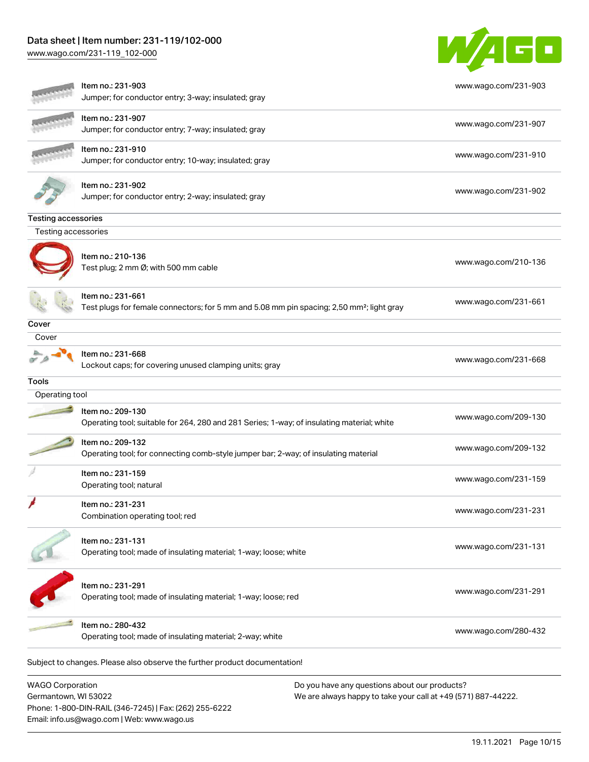### Data sheet | Item number: 231-119/102-000

Email: info.us@wago.com | Web: www.wago.us

[www.wago.com/231-119\\_102-000](http://www.wago.com/231-119_102-000)



|                            | Item no.: 231-903<br>Jumper; for conductor entry; 3-way; insulated; gray                                                   | www.wago.com/231-903                                          |
|----------------------------|----------------------------------------------------------------------------------------------------------------------------|---------------------------------------------------------------|
|                            | Item no.: 231-907<br>Jumper; for conductor entry; 7-way; insulated; gray                                                   | www.wago.com/231-907                                          |
|                            | Item no.: 231-910<br>Jumper; for conductor entry; 10-way; insulated; gray                                                  | www.wago.com/231-910                                          |
|                            | Item no.: 231-902<br>Jumper; for conductor entry; 2-way; insulated; gray                                                   | www.wago.com/231-902                                          |
| <b>Testing accessories</b> |                                                                                                                            |                                                               |
| Testing accessories        |                                                                                                                            |                                                               |
|                            | Item no.: 210-136<br>Test plug; 2 mm Ø; with 500 mm cable                                                                  | www.wago.com/210-136                                          |
|                            | Item no.: 231-661<br>Test plugs for female connectors; for 5 mm and 5.08 mm pin spacing; 2,50 mm <sup>2</sup> ; light gray | www.wago.com/231-661                                          |
| Cover                      |                                                                                                                            |                                                               |
| Cover                      |                                                                                                                            |                                                               |
|                            | Item no.: 231-668<br>Lockout caps; for covering unused clamping units; gray                                                | www.wago.com/231-668                                          |
| Tools                      |                                                                                                                            |                                                               |
| Operating tool             |                                                                                                                            |                                                               |
|                            | Item no.: 209-130<br>Operating tool; suitable for 264, 280 and 281 Series; 1-way; of insulating material; white            | www.wago.com/209-130                                          |
|                            | Item no.: 209-132<br>Operating tool; for connecting comb-style jumper bar; 2-way; of insulating material                   | www.wago.com/209-132                                          |
|                            | Item no.: 231-159<br>Operating tool; natural                                                                               | www.wago.com/231-159                                          |
|                            | Item no.: 231-231<br>Combination operating tool; red                                                                       | www.wago.com/231-231                                          |
|                            | Item no.: 231-131<br>Operating tool; made of insulating material; 1-way; loose; white                                      | www.wago.com/231-131                                          |
|                            | Item no.: 231-291<br>Operating tool; made of insulating material; 1-way; loose; red                                        | www.wago.com/231-291                                          |
|                            | Item no.: 280-432<br>Operating tool; made of insulating material; 2-way; white                                             | www.wago.com/280-432                                          |
|                            | Subject to changes. Please also observe the further product documentation!                                                 |                                                               |
| <b>WAGO Corporation</b>    |                                                                                                                            | Do you have any questions about our products?                 |
| Germantown, WI 53022       | Phone: 1-800-DIN-RAIL (346-7245)   Fax: (262) 255-6222                                                                     | We are always happy to take your call at +49 (571) 887-44222. |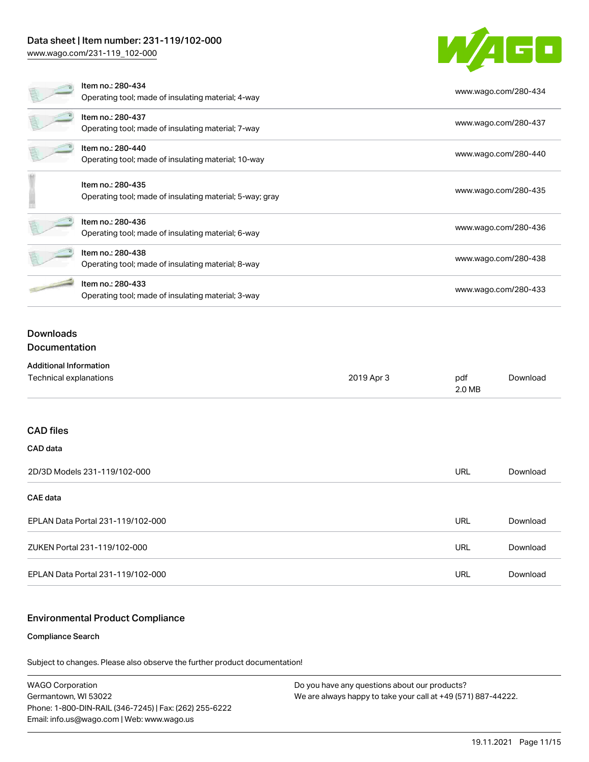### Data sheet | Item number: 231-119/102-000

[www.wago.com/231-119\\_102-000](http://www.wago.com/231-119_102-000)



|                                                         | Item no.: 280-434<br>Operating tool; made of insulating material; 4-way       |            |               | www.wago.com/280-434 |
|---------------------------------------------------------|-------------------------------------------------------------------------------|------------|---------------|----------------------|
|                                                         | Item no.: 280-437<br>Operating tool; made of insulating material; 7-way       |            |               | www.wago.com/280-437 |
|                                                         | Item no.: 280-440<br>Operating tool; made of insulating material; 10-way      |            |               | www.wago.com/280-440 |
|                                                         | Item no.: 280-435<br>Operating tool; made of insulating material; 5-way; gray |            |               | www.wago.com/280-435 |
|                                                         | Item no.: 280-436<br>Operating tool; made of insulating material; 6-way       |            |               | www.wago.com/280-436 |
|                                                         | Item no.: 280-438<br>Operating tool; made of insulating material; 8-way       |            |               | www.wago.com/280-438 |
|                                                         | Item no.: 280-433<br>Operating tool; made of insulating material; 3-way       |            |               | www.wago.com/280-433 |
| <b>Downloads</b><br>Documentation                       |                                                                               |            |               |                      |
| <b>Additional Information</b><br>Technical explanations |                                                                               | 2019 Apr 3 | pdf<br>2.0 MB | Download             |
| <b>CAD files</b>                                        |                                                                               |            |               |                      |
| CAD data                                                |                                                                               |            |               |                      |
|                                                         | 2D/3D Modale 231_110/102_000                                                  |            | <b>TIPI</b>   | Download             |

| ZDI3D MOGELS Z31-119/10Z-000      | URL | DOWIJIOdU |
|-----------------------------------|-----|-----------|
| CAE data                          |     |           |
| EPLAN Data Portal 231-119/102-000 | URL | Download  |
| ZUKEN Portal 231-119/102-000      | URL | Download  |
| EPLAN Data Portal 231-119/102-000 | URL | Download  |

#### Environmental Product Compliance

#### Compliance Search

Subject to changes. Please also observe the further product documentation!

WAGO Corporation Germantown, WI 53022 Phone: 1-800-DIN-RAIL (346-7245) | Fax: (262) 255-6222 Email: info.us@wago.com | Web: www.wago.us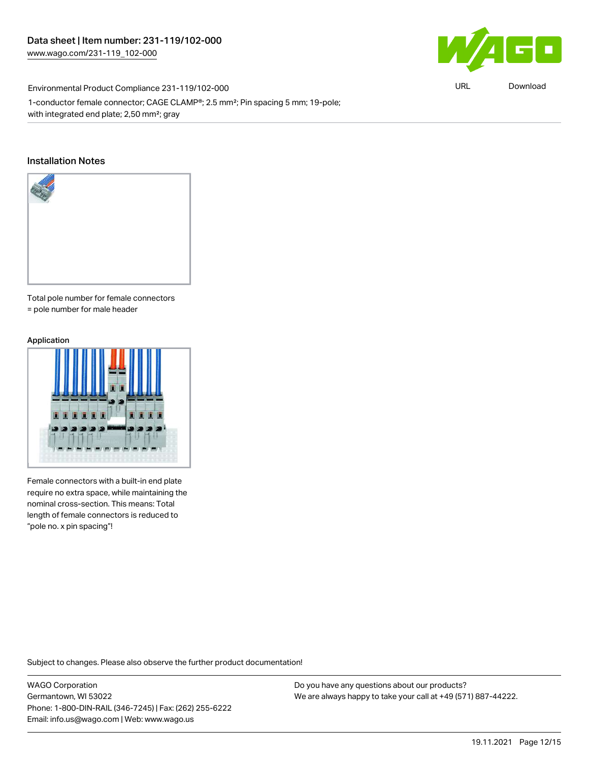$\blacksquare$ 

Environmental Product Compliance 231-119/102-000

1-conductor female connector; CAGE CLAMP®; 2.5 mm²; Pin spacing 5 mm; 19-pole; with integrated end plate; 2,50 mm²; gray

#### Installation Notes



Total pole number for female connectors = pole number for male header

#### Application



Female connectors with a built-in end plate require no extra space, while maintaining the nominal cross-section. This means: Total length of female connectors is reduced to "pole no. x pin spacing"!

Subject to changes. Please also observe the further product documentation!

WAGO Corporation Germantown, WI 53022 Phone: 1-800-DIN-RAIL (346-7245) | Fax: (262) 255-6222 Email: info.us@wago.com | Web: www.wago.us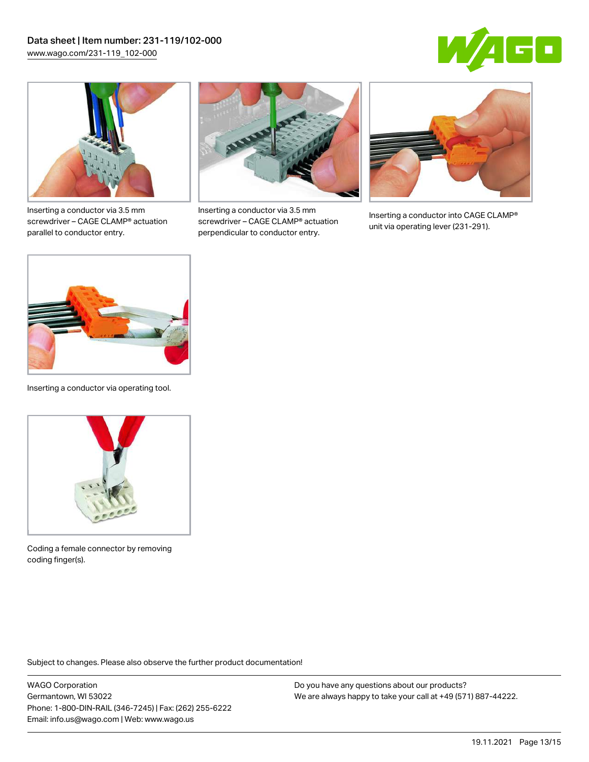



Inserting a conductor via 3.5 mm screwdriver – CAGE CLAMP® actuation parallel to conductor entry.



Inserting a conductor via 3.5 mm screwdriver – CAGE CLAMP® actuation perpendicular to conductor entry.



Inserting a conductor into CAGE CLAMP® unit via operating lever (231-291).



Inserting a conductor via operating tool.



Coding a female connector by removing coding finger(s).

Subject to changes. Please also observe the further product documentation!

WAGO Corporation Germantown, WI 53022 Phone: 1-800-DIN-RAIL (346-7245) | Fax: (262) 255-6222 Email: info.us@wago.com | Web: www.wago.us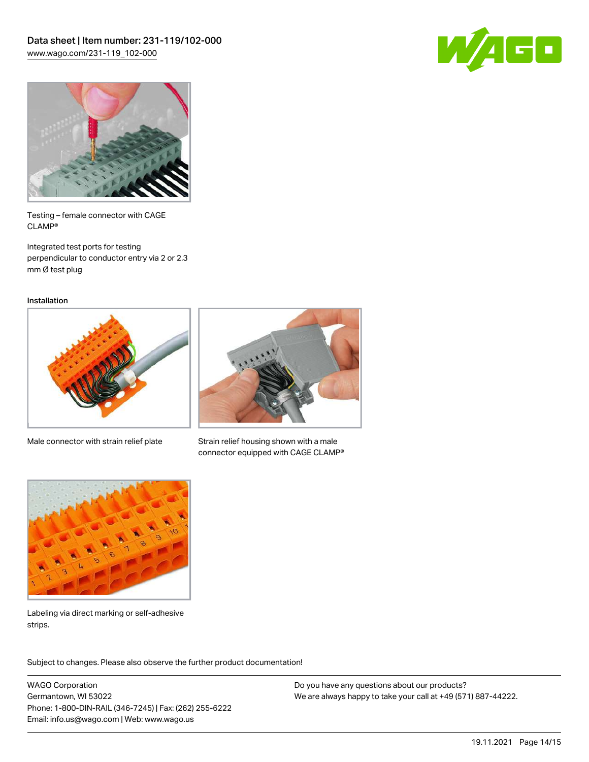



Testing – female connector with CAGE CLAMP®

Integrated test ports for testing perpendicular to conductor entry via 2 or 2.3 mm Ø test plug

Installation



Male connector with strain relief plate



Strain relief housing shown with a male connector equipped with CAGE CLAMP®



Labeling via direct marking or self-adhesive strips.

Subject to changes. Please also observe the further product documentation! Product family

WAGO Corporation Germantown, WI 53022 Phone: 1-800-DIN-RAIL (346-7245) | Fax: (262) 255-6222 Email: info.us@wago.com | Web: www.wago.us